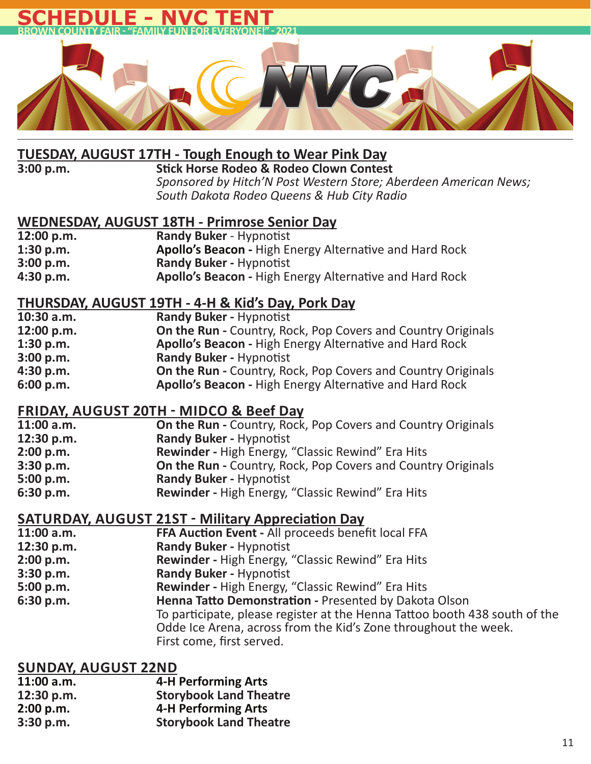

# **TUESDAY, AUGUST 17TH - Tough Enough to Wear Pink Day**

## **Stick Horse Rodeo & Rodeo Clown Contest**  *Sponsored by Hitch'N Post Western Store; Aberdeen American News; South Dakota Rodeo Queens & Hub City Radio*

# **WEDNESDAY, AUGUST 18TH - Primrose Senior Day**

| 12:00 p.m. | <b>Randy Buker - Hypnotist</b>                                 |
|------------|----------------------------------------------------------------|
| 1:30 p.m.  | <b>Apollo's Beacon - High Energy Alternative and Hard Rock</b> |
| 3:00 p.m.  | <b>Randy Buker - Hypnotist</b>                                 |
| 4:30 p.m.  | Apollo's Beacon - High Energy Alternative and Hard Rock        |

# **THURSDAY, AUGUST 19TH - 4-H & Kid's Day, Pork Day**

| $10:30$ a.m. | <b>Randy Buker - Hypnotist</b>                                      |
|--------------|---------------------------------------------------------------------|
| 12:00 p.m.   | <b>On the Run - Country, Rock, Pop Covers and Country Originals</b> |
| 1:30 p.m.    | Apollo's Beacon - High Energy Alternative and Hard Rock             |
| 3:00 p.m.    | <b>Randy Buker - Hypnotist</b>                                      |
| 4:30 p.m.    | <b>On the Run - Country, Rock, Pop Covers and Country Originals</b> |
| 6:00 p.m.    | Apollo's Beacon - High Energy Alternative and Hard Rock             |

# **FRIDAY, AUGUST 20TH ͳ MIDCO & Beef Day**

| <b>On the Run - Country, Rock, Pop Covers and Country Originals</b> |
|---------------------------------------------------------------------|
| <b>Randy Buker - Hypnotist</b>                                      |
| <b>Rewinder - High Energy, "Classic Rewind" Era Hits</b>            |
| <b>On the Run - Country, Rock, Pop Covers and Country Originals</b> |
| <b>Randy Buker - Hypnotist</b>                                      |
| <b>Rewinder - High Energy, "Classic Rewind" Era Hits</b>            |
|                                                                     |

# **SATURDAY, AUGUST 21ST ͳ Military AppreciaƟ on Day**

| 11:00 a.m. | FFA Auction Event - All proceeds benefit local FFA                         |
|------------|----------------------------------------------------------------------------|
| 12:30 p.m. | <b>Randy Buker - Hypnotist</b>                                             |
| 2:00 p.m.  | <b>Rewinder - High Energy, "Classic Rewind" Era Hits</b>                   |
| 3:30 p.m.  | <b>Randy Buker - Hypnotist</b>                                             |
| 5:00 p.m.  | <b>Rewinder - High Energy, "Classic Rewind" Era Hits</b>                   |
| 6:30 p.m.  | Henna Tatto Demonstration - Presented by Dakota Olson                      |
|            | To participate, please register at the Henna Tattoo booth 438 south of the |
|            | Odde Ice Arena, across from the Kid's Zone throughout the week.            |
|            | First come, first served.                                                  |

| $11:00$ a.m. | <b>4-H Performing Arts</b>    |
|--------------|-------------------------------|
| 12:30 p.m.   | <b>Storybook Land Theatre</b> |
| 2:00 p.m.    | <b>4-H Performing Arts</b>    |
| 3:30 p.m.    | <b>Storybook Land Theatre</b> |
|              |                               |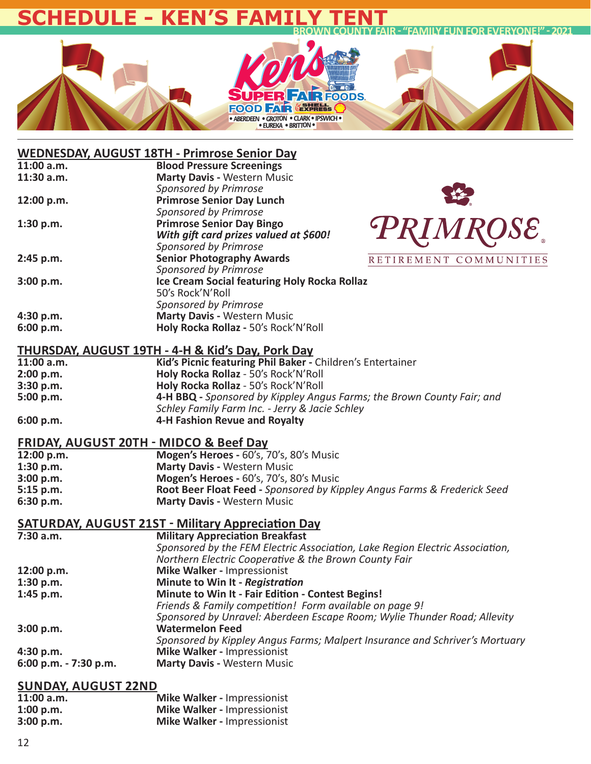## **BROWILLY FUN FOR EVERYONE!" - 2021 SCHEDULE - KEN'S F**



## **WEDNESDAY, AUGUST 18TH - Primrose Senior Day**

| 11:00 a.m. | <b>Blood Pressure Screenings</b>             |                        |
|------------|----------------------------------------------|------------------------|
| 11:30 a.m. | <b>Marty Davis - Western Music</b>           |                        |
|            | Sponsored by Primrose                        |                        |
| 12:00 p.m. | <b>Primrose Senior Day Lunch</b>             | $\frac{1}{2}$          |
|            | Sponsored by Primrose                        |                        |
| 1:30 p.m.  | <b>Primrose Senior Day Bingo</b>             |                        |
|            | With gift card prizes valued at \$600!       | <b>PRIMROSE</b>        |
|            | Sponsored by Primrose                        |                        |
|            |                                              |                        |
| 2:45 p.m.  | <b>Senior Photography Awards</b>             | RETIREMENT COMMUNITIES |
|            | Sponsored by Primrose                        |                        |
| 3:00 p.m.  | Ice Cream Social featuring Holy Rocka Rollaz |                        |
|            | 50's Rock'N'Roll                             |                        |
|            | Sponsored by Primrose                        |                        |
|            | <b>Marty Davis - Western Music</b>           |                        |
| 4:30 p.m.  |                                              |                        |
| 6:00 p.m.  | Holy Rocka Rollaz - 50's Rock'N'Roll         |                        |
|            |                                              |                        |

### **THURSDAY, AUGUST 19TH - 4-H & Kid's Day, Pork Day**

| 11:00 a.m. | Kid's Picnic featuring Phil Baker - Children's Entertainer             |
|------------|------------------------------------------------------------------------|
| 2:00 p.m.  | Holy Rocka Rollaz - 50's Rock'N'Roll                                   |
| 3:30 p.m.  | Holy Rocka Rollaz - 50's Rock'N'Roll                                   |
| 5:00 p.m.  | 4-H BBQ - Sponsored by Kippley Angus Farms; the Brown County Fair; and |
|            | Schley Family Farm Inc. - Jerry & Jacie Schley                         |
| 6:00 p.m.  | 4-H Fashion Revue and Royalty                                          |

### **FRIDAY, AUGUST 20TH - MIDCO & Beef Day**

| 12:00 p.m.  | Mogen's Heroes - 60's, 70's, 80's Music                                  |
|-------------|--------------------------------------------------------------------------|
| 1:30 p.m.   | <b>Marty Davis - Western Music</b>                                       |
| 3:00 p.m.   | Mogen's Heroes - 60's, 70's, 80's Music                                  |
| $5:15$ p.m. | Root Beer Float Feed - Sponsored by Kippley Angus Farms & Frederick Seed |
| 6:30 p.m.   | <b>Marty Davis - Western Music</b>                                       |
|             |                                                                          |

## **SATURDAY, AUGUST 21ST - Military Appreciation Day**

| <b>Military Appreciation Breakfast</b>                                       |
|------------------------------------------------------------------------------|
| Sponsored by the FEM Electric Association, Lake Region Electric Association, |
| Northern Electric Cooperative & the Brown County Fair                        |
| Mike Walker - Impressionist                                                  |
| Minute to Win It - Registration                                              |
| Minute to Win It - Fair Edition - Contest Begins!                            |
| Friends & Family competition! Form available on page 9!                      |
| Sponsored by Unravel: Aberdeen Escape Room; Wylie Thunder Road; Allevity     |
|                                                                              |
| Sponsored by Kippley Angus Farms; Malpert Insurance and Schriver's Mortuary  |
| Mike Walker - Impressionist                                                  |
| <b>Marty Davis - Western Music</b>                                           |
|                                                                              |

| $11:00$ a.m. | <b>Mike Walker - Impressionist</b> |
|--------------|------------------------------------|
| 1:00 p.m.    | <b>Mike Walker - Impressionist</b> |
| 3:00 p.m.    | <b>Mike Walker - Impressionist</b> |
|              |                                    |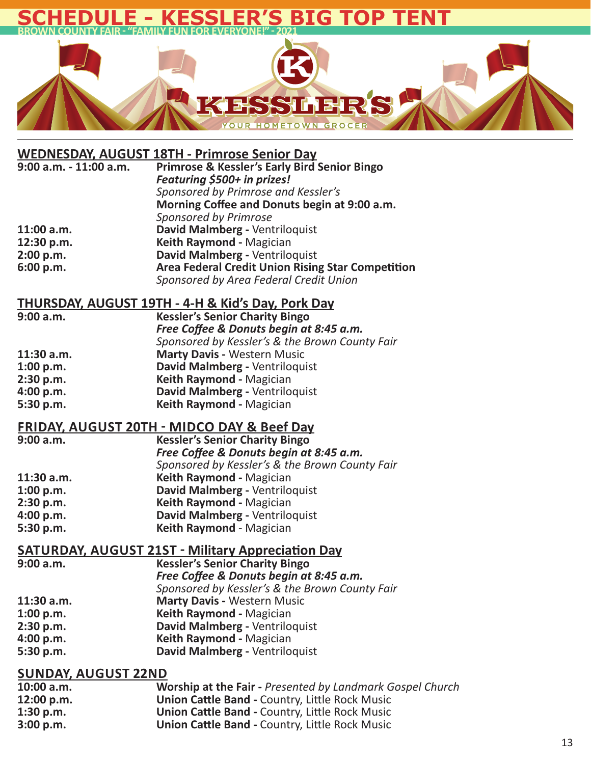# **BIG TOP TEN BROWN COUNTY FAIR ͳ "FAMILY FUN FOR EVERYONE!" ͳ 2021**



## **WEDNESDAY, AUGUST 18TH - Primrose Senior Day**

| 9:00 a.m. - 11:00 a.m. | <b>Primrose &amp; Kessler's Early Bird Senior Bingo</b>  |
|------------------------|----------------------------------------------------------|
|                        | Featuring \$500+ in prizes!                              |
|                        | Sponsored by Primrose and Kessler's                      |
|                        | Morning Coffee and Donuts begin at 9:00 a.m.             |
|                        | Sponsored by Primrose                                    |
| 11:00 a.m.             | David Malmberg - Ventriloquist                           |
| 12:30 p.m.             | Keith Raymond - Magician                                 |
| 2:00 p.m.              | David Malmberg - Ventriloquist                           |
| 6:00 p.m.              | <b>Area Federal Credit Union Rising Star Competition</b> |
|                        | Sponsored by Area Federal Credit Union                   |

## **THURSDAY, AUGUST 19TH - 4-H & Kid's Day, Pork Day**

| <b>Kessler's Senior Charity Bingo</b>          |
|------------------------------------------------|
| Free Coffee & Donuts begin at 8:45 a.m.        |
| Sponsored by Kessler's & the Brown County Fair |
| <b>Marty Davis - Western Music</b>             |
| David Malmberg - Ventriloquist                 |
| Keith Raymond - Magician                       |
| David Malmberg - Ventriloquist                 |
| Keith Raymond - Magician                       |
|                                                |

# **FRIDAY, AUGUST 20TH - MIDCO DAY & Beef Day**

| <b>Kessler's Senior Charity Bingo</b>          |
|------------------------------------------------|
| Free Coffee & Donuts begin at 8:45 a.m.        |
| Sponsored by Kessler's & the Brown County Fair |
| Keith Raymond - Magician                       |
| David Malmberg - Ventriloquist                 |
| Keith Raymond - Magician                       |
| David Malmberg - Ventriloquist                 |
| Keith Raymond - Magician                       |
|                                                |

# **SATURDAY, AUGUST 21ST - Military Appreciation Day**

| 9:00 a.m.  | <b>Kessler's Senior Charity Bingo</b>          |
|------------|------------------------------------------------|
|            | Free Coffee & Donuts begin at 8:45 a.m.        |
|            | Sponsored by Kessler's & the Brown County Fair |
| 11:30 a.m. | <b>Marty Davis - Western Music</b>             |
| 1:00 p.m.  | Keith Raymond - Magician                       |
| 2:30 p.m.  | David Malmberg - Ventriloquist                 |
| 4:00 p.m.  | Keith Raymond - Magician                       |
| 5:30 p.m.  | David Malmberg - Ventriloquist                 |
|            |                                                |

| $10:00$ a.m. | Worship at the Fair - Presented by Landmark Gospel Church |
|--------------|-----------------------------------------------------------|
| 12:00 p.m.   | <b>Union Cattle Band - Country, Little Rock Music</b>     |
| 1:30 p.m.    | <b>Union Cattle Band - Country, Little Rock Music</b>     |
| 3:00 p.m.    | <b>Union Cattle Band - Country, Little Rock Music</b>     |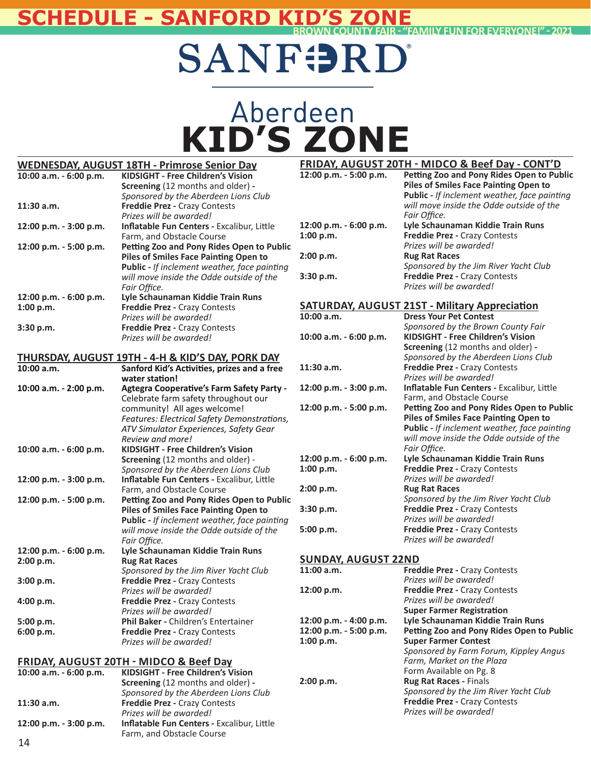# **BROWN COUNTY FAIR ͳ "FAMILY FUN FOR EVERYONE!" ͳ 2021 SCHEDULE - SANFORD KID'S ZONE**

# **SANFORD**

# Aberdeen<br>KID'S ZONE

|                        | <b>WEDNESDAY, AUGUST 18TH - Primrose Senior Day</b>          |                            | <b>FRIDAY, AUGUST 20TH - MIDCO &amp; Beef Day - CONT'D</b> |
|------------------------|--------------------------------------------------------------|----------------------------|------------------------------------------------------------|
| 10:00 a.m. - 6:00 p.m. | KIDSIGHT - Free Children's Vision                            | 12:00 p.m. - 5:00 p.m.     | Petting Zoo and Pony Rides Open to Public                  |
|                        | Screening (12 months and older) -                            |                            | <b>Piles of Smiles Face Painting Open to</b>               |
|                        | Sponsored by the Aberdeen Lions Club                         |                            | Public - If inclement weather, face painting               |
| $11:30$ a.m.           | Freddie Prez - Crazy Contests                                |                            | will move inside the Odde outside of the                   |
|                        | Prizes will be awarded!                                      |                            | Fair Office.                                               |
| 12:00 p.m. - 3:00 p.m. | Inflatable Fun Centers - Excalibur, Little                   | 12:00 p.m. - 6:00 p.m.     | Lyle Schaunaman Kiddie Train Runs                          |
|                        | Farm, and Obstacle Course                                    | 1:00 p.m.                  | Freddie Prez - Crazy Contests                              |
| 12:00 p.m. - 5:00 p.m. | Petting Zoo and Pony Rides Open to Public                    |                            | Prizes will be awarded!                                    |
|                        | <b>Piles of Smiles Face Painting Open to</b>                 | 2:00 p.m.                  | <b>Rug Rat Races</b>                                       |
|                        | <b>Public - If inclement weather, face painting</b>          |                            | Sponsored by the Jim River Yacht Club                      |
|                        | will move inside the Odde outside of the                     | 3:30 p.m.                  | Freddie Prez - Crazy Contests                              |
|                        | Fair Office.                                                 |                            | Prizes will be awarded!                                    |
| 12:00 p.m. - 6:00 p.m. | Lyle Schaunaman Kiddie Train Runs                            |                            |                                                            |
| 1:00 p.m.              | Freddie Prez - Crazy Contests                                |                            | <b>SATURDAY, AUGUST 21ST - Military Appreciation</b>       |
|                        | Prizes will be awarded!                                      | 10:00 a.m.                 | <b>Dress Your Pet Contest</b>                              |
| 3:30 p.m.              | Freddie Prez - Crazy Contests                                |                            | Sponsored by the Brown County Fair                         |
|                        | Prizes will be awarded!                                      | 10:00 a.m. - 6:00 p.m.     | KIDSIGHT - Free Children's Vision                          |
|                        |                                                              |                            | Screening (12 months and older) -                          |
|                        | <b>THURSDAY, AUGUST 19TH - 4-H &amp; KID'S DAY, PORK DAY</b> |                            | Sponsored by the Aberdeen Lions Club                       |
| 10:00 a.m.             | Sanford Kid's Activities, prizes and a free                  | 11:30 a.m.                 | Freddie Prez - Crazy Contests                              |
|                        | water station!                                               |                            | Prizes will be awarded!                                    |
| 10:00 a.m. - 2:00 p.m. | Agtegra Cooperative's Farm Safety Party -                    | 12:00 p.m. - 3:00 p.m.     | Inflatable Fun Centers - Excalibur, Little                 |
|                        | Celebrate farm safety throughout our                         |                            | Farm, and Obstacle Course                                  |
|                        | community! All ages welcome!                                 | 12:00 p.m. - 5:00 p.m.     | Petting Zoo and Pony Rides Open to Public                  |
|                        | Features: Electrical Safety Demonstrations,                  |                            | <b>Piles of Smiles Face Painting Open to</b>               |
|                        | ATV Simulator Experiences, Safety Gear                       |                            | <b>Public - If inclement weather, face painting</b>        |
|                        | Review and more!                                             |                            | will move inside the Odde outside of the                   |
| 10:00 a.m. - 6:00 p.m. | <b>KIDSIGHT - Free Children's Vision</b>                     |                            | Fair Office.                                               |
|                        | Screening (12 months and older) -                            | 12:00 p.m. - 6:00 p.m.     | Lyle Schaunaman Kiddie Train Runs                          |
|                        | Sponsored by the Aberdeen Lions Club                         | 1:00 p.m.                  | Freddie Prez - Crazy Contests                              |
| 12:00 p.m. - 3:00 p.m. | Inflatable Fun Centers - Excalibur, Little                   |                            | Prizes will be awarded!                                    |
|                        | Farm, and Obstacle Course                                    | 2:00 p.m.                  | <b>Rug Rat Races</b>                                       |
| 12:00 p.m. - 5:00 p.m. | Petting Zoo and Pony Rides Open to Public                    |                            | Sponsored by the Jim River Yacht Club                      |
|                        | <b>Piles of Smiles Face Painting Open to</b>                 | 3:30 p.m.                  | Freddie Prez - Crazy Contests                              |
|                        | Public - If inclement weather, face painting                 |                            | Prizes will be awarded!                                    |
|                        | will move inside the Odde outside of the                     | 5:00 p.m.                  | Freddie Prez - Crazy Contests                              |
|                        | Fair Office.                                                 |                            | Prizes will be awarded!                                    |
| 12:00 p.m. - 6:00 p.m. | Lyle Schaunaman Kiddie Train Runs                            |                            |                                                            |
| 2:00 p.m.              | <b>Rug Rat Races</b>                                         | <b>SUNDAY, AUGUST 22ND</b> |                                                            |
|                        | Sponsored by the Jim River Yacht Club                        | $11:00$ a.m.               | Freddie Prez - Crazy Contests                              |
| 3:00 p.m.              | Freddie Prez - Crazy Contests                                |                            | Prizes will be awarded!                                    |
|                        | Prizes will be awarded!                                      | 12:00 p.m.                 | <b>Freddie Prez - Crazy Contests</b>                       |
| 4:00 p.m.              | <b>Freddie Prez - Crazy Contests</b>                         |                            | Prizes will be awarded!                                    |
|                        | Prizes will be awarded!                                      |                            | <b>Super Farmer Registration</b>                           |
| 5:00 p.m.              | Phil Baker - Children's Entertainer                          | 12:00 p.m. - 4:00 p.m.     | Lyle Schaunaman Kiddie Train Runs                          |
| 6:00 p.m.              | Freddie Prez - Crazy Contests                                | 12:00 p.m. - 5:00 p.m.     | Petting Zoo and Pony Rides Open to Public                  |
|                        | Prizes will be awarded!                                      | 1:00 p.m.                  | <b>Super Farmer Contest</b>                                |
|                        |                                                              |                            | Sponsored by Farm Forum, Kippley Angus                     |
|                        | <b>FRIDAY, AUGUST 20TH - MIDCO &amp; Beef Day</b>            |                            | Farm, Market on the Plaza                                  |
| 10:00 a.m. - 6:00 p.m. | <b>KIDSIGHT - Free Children's Vision</b>                     |                            | Form Available on Pg. 8                                    |
|                        | Screening (12 months and older) -                            | 2:00 p.m.                  | Rug Rat Races - Finals                                     |
|                        | Sponsored by the Aberdeen Lions Club                         |                            | Sponsored by the Jim River Yacht Club                      |
| $11:30$ a.m.           | Freddie Prez - Crazy Contests                                |                            | Freddie Prez - Crazy Contests                              |
|                        | Prizes will be awarded!                                      |                            | Prizes will be awarded!                                    |
| 12:00 p.m. - 3:00 p.m. | Inflatable Fun Centers - Excalibur, Little                   |                            |                                                            |
|                        | Farm, and Obstacle Course                                    |                            |                                                            |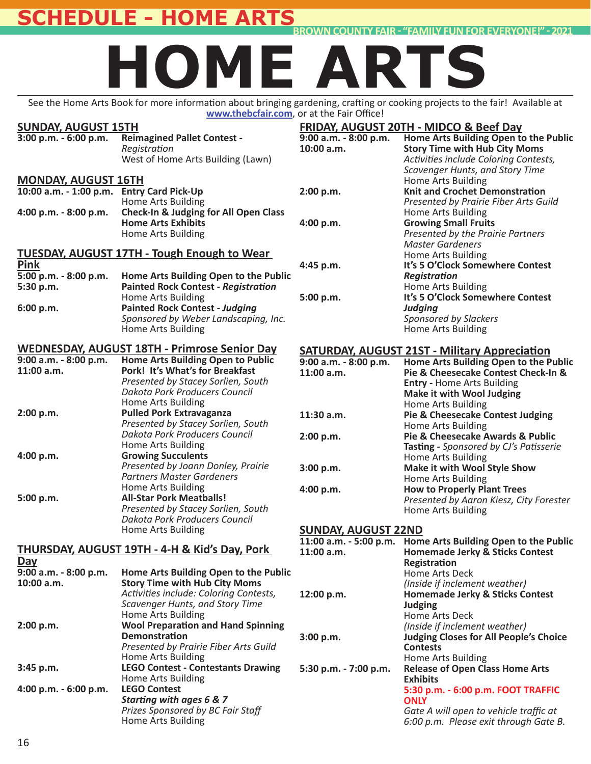# **SCHEDULE - HOME ARTS**

**BROWN COUNTY FAIR - "FAMILY FUN FOR EVERYONE!" - 2021** 

# **HOME ARTS**

See the Home Arts Book for more information about bringing gardening, crafting or cooking projects to the fair! Available at www.thebcfair.com, or at the Fair Office!

#### **SUNDAY, AUGUST 15TH**<br>3:00 p.m. - 6:00 p.m. Reir **3:00 p.m. - 6:00 p.m. Reimagined Pallet Contest -**  *RegistraƟ on* West of Home Arts Building (Lawn) **MONDAY, AUGUST 16TH 10:00 a.m. - 1:00 p.m. Entry Card Pick-Up Home Arts Building**<br> **4:00 p.m. - 8:00 p.m. Check-In & Judging Check-In & Judging for All Open Class Home Arts Exhibits** Home Arts Building **TUESDAY, AUGUST 17TH - Tough Enough to Wear**  <u>Pink</u><br>5:00 p.m. - 8:00 p.m. **5:00 p.m. - 8:00 p.m. Home Arts Building Open to the Public Fainted Rock Contest - Registration 6:00 p.m. 19 Mainting Building**<br>**Painted Rock Conte 6:00 p.m. Painted Rock Contest -** *Judging Sponsored by Weber Landscaping, Inc.* Home Arts Building **WEDNESDAY, AUGUST 18TH - Primrose Senior Day 9:00 a.m. - 8:00 p.m. Home Arts Building Open to Public 11:00 a.m. Pork! It's What's for Breakfast** *Presented by Stacey Sorlien, South Dakota Pork Producers Council* Home Arts Building<br>2:00 p.m. **Pulled Pork Extrava 2:00 p.m. Pulled Pork Extravaganza**  *Presented by Stacey Sorlien, South Dakota Pork Producers Council* Home Arts Building<br>4:00 p.m. **Example 20 Growing Succulents Growing Succulents**  *Presented by Joann Donley, Prairie Partners Master Gardeners* Home Arts Building<br>**19.9 All-Star Pork Meath** All-Star Pork **5:00 p.m. All-Star Pork Meatballs!**  *Presented by Stacey Sorlien, South Dakota Pork Producers Council* Home Arts Building **THURSDAY, AUGUST 19TH - 4-H & Kid's Day, Pork Day**<br>9:00 a.m. - 8:00 p.m. **9:00 a.m. - 8:00 p.m. Home Arts Building Open to the Public 10:00 Story Time with Hub City Moms**  *AcƟ viƟ es include: Coloring Contests, Scavenger Hunts, and Story Time* Home Arts Building<br>2:00 p.m. **Mool Preparation** a **2000 Preparation and Hand Spinning Demonstration**  *Presented by Prairie Fiber Arts Guild* Home Arts Building **3:45 p.m. LEGO Contest - Contestants Drawing** Home Arts Building<br>LEGO Contest 4:00 p.m. - 6:00 p.m.  *StarƟ ng with ages 6 & 7 Prizes Sponsored by BC Fair Staff* Home Arts Building **FRIDAY, AUGUST 20TH - MIDCO & Beef Day 9:00 a.m. - 8:00 p.m. Home Arts Building Open to the Public 10:00 Story Time with Hub City Moms**  *AcƟ viƟ es include Coloring Contests, Scavenger Hunts, and Story Time* Home Arts Building<br>**2:00 p.m.** Knit and Crochet Do **2.00 Knit and Crochet Demonstration**  *Presented by Prairie Fiber Arts Guild* Home Arts Building<br>4:00 p.m. **Growing Small Frui 4:00 p.m. Growing Small Fruits**  *Presented by the Prairie Partners Master Gardeners* Home Arts Building<br>4:45 p.m. It's 5 O'Clock Some **4t's 5 O'Clock Somewhere Contest** *RegistraƟ on* Home Arts Building **5:00 p.m. It's 5 O'Clock Somewhere Contest**  *Judging Sponsored by Slackers* Home Arts Building **SATURDAY, AUGUST 21ST - Military Appreciation**<br>9:00 a.m. - 8:00 p.m. Home Arts Building Open to the P **9:00 a.m. - 8:00 p.m. Home Arts Building Open to the Public 11:00 a.m. Pie & Cheesecake Contest Check-In & Entry -** Home Arts Building  **Make it with Wool Judging 11:30 a.m. Pie & Cheesecake C Pie & Cheesecake Contest Judging**  Home Arts Building **2:00 p.m. Pie & Cheesecake Awards & Public TasƟ ng -** *Sponsored by CJ's PaƟ sserie* Home Arts Building **3:00 p.m. Make it with Wool Style Show** Home Arts Building<br>**4:00 p.m. How to Properly Plans How to Properly Plant Trees** *Presented by Aaron Kiesz, City Forester* Home Arts Building **SUNDAY, AUGUST 22ND 11:00 a.m. - 5:00 p.m. Home Arts Building Open to the Public** 11:00 a.m. **Homemade Jerky & Sticks Contest RegistraƟ on** Home Arts Deck  *(Inside if inclement weather)* **12:00 Homemade Jerky & Sticks Contest Judging** Home Arts Deck  *(Inside if inclement weather)* **3:00 p.m. Judging Closes for All People's Choice Contests** Home Arts Building<br>5:30 p.m. - 7:00 p.m. Release of Open Cla **5:30 p.m. - 7:00 p.m. Release of Open Class Home Arts Exhibits 5:30 p.m. - 6:00 p.m. FOOT TRAFFIC ONLY**  *Gate A will open to vehicle traffi c at 6:00 p.m. Please exit through Gate B.*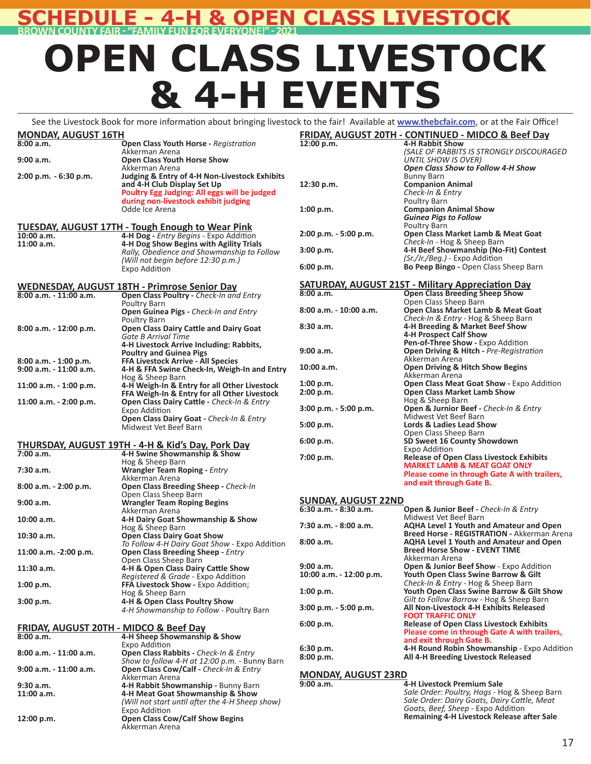# **ASS LIVESTOCK BROWN COUNTY FAIR ͳ "FAMILY FUN FOR EVERYONE!" ͳ 2021**

# **OPEN CLASS LIVESTOCK & 4-H EVENTS**

**FRIDAY, AUGUST 20TH - CONTINUED - MIDCO & Beef Day** See the Livestock Book for more information about bringing livestock to the fair! Available at www.thebcfair.com, or at the Fair Office!

| <b>MONDAY, AUGUST 16TH</b><br>8:00a.m.                        | Open Class Youth Horse - Registration                                                                                                                     | <b>FRIDAY,</b><br>12:00 p.m |
|---------------------------------------------------------------|-----------------------------------------------------------------------------------------------------------------------------------------------------------|-----------------------------|
| 9:00 a.m.                                                     | Akkerman Arena<br><b>Open Class Youth Horse Show</b>                                                                                                      |                             |
| 2:00 p.m. - 6:30 p.m.                                         | Akkerman Arena<br><b>Judging &amp; Entry of 4-H Non-Livestock Exhibits</b><br>and 4-H Club Display Set Up<br>Poultry Egg Judging: All eggs will be judged | 12:30 p.m                   |
|                                                               | during non-livestock exhibit judging<br>Odde Ice Arena                                                                                                    | 1:00 p.m.                   |
|                                                               | <b>TUESDAY, AUGUST 17TH - Tough Enough to Wear Pink</b>                                                                                                   | 2:00 p.m.                   |
| 10:00 a.m.<br>11:00 a.m.                                      | 4-H Dog - Entry Begins - Expo Addition<br>4-H Dog Show Begins with Agility Trials                                                                         | 3:00 p.m.                   |
|                                                               | Rally, Obedience and Showmanship to Follow<br>(Will not begin before 12:30 p.m.)                                                                          | 6:00 p.m.                   |
|                                                               | Expo Addition                                                                                                                                             |                             |
| $8:00$ a.m. $-11:00$ a.m.                                     | <b>WEDNESDAY, AUGUST 18TH - Primrose Senior Day</b><br>Open Class Poultry - Check-In and Entry                                                            | <b>SATURD</b><br>8:00a.m.   |
|                                                               | Poultry Barn<br>Open Guinea Pigs - Check-In and Entry                                                                                                     | 8:00 a.m.                   |
| 8:00 a.m. - 12:00 p.m.                                        | Poultry Barn<br><b>Open Class Dairy Cattle and Dairy Goat</b>                                                                                             | 8:30 a.m.                   |
|                                                               | Gate B Arrival Time<br>4-H Livestock Arrive Including: Rabbits,<br><b>Poultry and Guinea Pigs</b>                                                         | 9:00 a.m.                   |
| 8:00 a.m. - 1:00 p.m.<br>9:00 a.m. - 11:00 a.m.               | FFA Livestock Arrive - All Species<br>4-H & FFA Swine Check-In, Weigh-In and Entry                                                                        | 10:00 a.m                   |
| 11:00 a.m. - 1:00 p.m.                                        | Hog & Sheep Barn<br>4-H Weigh-In & Entry for all Other Livestock<br>FFA Weigh-In & Entry for all Other Livestock                                          | 1:00 p.m.<br>2:00 p.m.      |
| 11:00 a.m. - 2:00 p.m.                                        | Open Class Dairy Cattle - Check-In & Entry<br>Expo Addition                                                                                               | 3:00 p.m.                   |
|                                                               | Open Class Dairy Goat - Check-In & Entry<br>Midwest Vet Beef Barn                                                                                         | 5:00 p.m.                   |
|                                                               | <b>THURSDAY, AUGUST 19TH - 4-H &amp; Kid's Day, Pork Day</b>                                                                                              | 6:00 p.m.                   |
| 7:00 a.m.                                                     | 4-H Swine Showmanship & Show                                                                                                                              | 7:00 p.m.                   |
| 7:30 a.m.                                                     | Hog & Sheep Barn<br><b>Wrangler Team Roping - Entry</b>                                                                                                   |                             |
| 8:00 a.m. - 2:00 p.m.                                         | Akkerman Arena<br>Open Class Breeding Sheep - Check-In                                                                                                    |                             |
| 9:00 a.m.                                                     | Open Class Sheep Barn<br><b>Wrangler Team Roping Begins</b>                                                                                               | <b>SUNDAY</b><br>6:30 a.m.  |
| 10:00 a.m.                                                    | Akkerman Arena<br>4-H Dairy Goat Showmanship & Show<br>Hog & Sheep Barn                                                                                   | 7:30 a.m.                   |
| 10:30 a.m.                                                    | <b>Open Class Dairy Goat Show</b><br>To Follow 4-H Dairy Goat Show - Expo Addition                                                                        | 8:00a.m.                    |
| 11:00 a.m. -2:00 p.m.                                         | <b>Open Class Breeding Sheep - Entry</b><br>Open Class Sheep Barn                                                                                         |                             |
| $11:30$ a.m.                                                  | 4-H & Open Class Dairy Cattle Show<br>Registered & Grade - Expo Addition                                                                                  | 9:00 a.m.<br>10:00 a.m      |
| 1:00 p.m.                                                     | FFA Livestock Show - Expo Addition;<br>Hog & Sheep Barn                                                                                                   | 1:00 p.m.                   |
| 3:00 p.m.                                                     | 4-H & Open Class Poultry Show<br>4-H Showmanship to Follow - Poultry Barn                                                                                 | 3:00 p.m.                   |
|                                                               |                                                                                                                                                           | 6:00 p.m.                   |
| <b>FRIDAY, AUGUST 20TH - MIDCO &amp; Beef Day</b><br>8:00a.m. | 4-H Sheep Showmanship & Show                                                                                                                              |                             |
| 8:00 a.m. - 11:00 a.m.                                        | Expo Addition<br><b>Open Class Rabbits - Check-In &amp; Entry</b><br>Show to follow 4-H at 12:00 p.m. - Bunny Barn                                        | 6:30 p.m.<br>8:00 p.m.      |
| 9:00 a.m. - 11:00 a.m.                                        | Open Class Cow/Calf - Check-In & Entry<br>Akkerman Arena                                                                                                  | <b>MONDA</b>                |
| 9:30 a.m.                                                     | 4-H Rabbit Showmanship - Bunny Barn                                                                                                                       | 9:00 a.m.                   |
| 11:00 a.m.                                                    | 4-H Meat Goat Showmanship & Show<br>(Will not start until after the 4-H Sheep show)<br>Expo Addition                                                      |                             |
| 12:00 p.m.                                                    | <b>Open Class Cow/Calf Show Begins</b><br>Akkerman Arena                                                                                                  |                             |

|                        | Check-In & Entry                                         |
|------------------------|----------------------------------------------------------|
|                        | Poultry Barn                                             |
| 1:00 p.m.              | <b>Companion Animal Show</b>                             |
|                        | <b>Guinea Pigs to Follow</b>                             |
|                        | Poultry Barn                                             |
| 2:00 p.m. - 5:00 p.m.  | Open Class Market Lamb & Meat Goat                       |
|                        | Check-In - Hog & Sheep Barn                              |
| 3:00 p.m.              | 4-H Beef Showmanship (No-Fit) Contest                    |
|                        | (Sr./Jr./Beg.) - Expo Addition                           |
| 6:00 p.m.              | <b>Bo Peep Bingo - Open Class Sheep Barn</b>             |
|                        |                                                          |
|                        |                                                          |
|                        | <b>SATURDAY, AUGUST 21ST - Military Appreciation Day</b> |
| 8:00a.m.               | <b>Open Class Breeding Sheep Show</b>                    |
|                        | Open Class Sheep Barn                                    |
| 8:00 a.m. - 10:00 a.m. | <b>Open Class Market Lamb &amp; Meat Goat</b>            |
|                        | Check-In & Entry - Hog & Sheep Barn                      |
| 8:30 a.m.              | 4-H Breeding & Market Beef Show                          |
|                        | <b>4-H Prospect Calf Show</b>                            |
|                        | Pen-of-Three Show - Expo Addition                        |
| 9:00 a.m.              | Open Driving & Hitch - Pre-Registration                  |
|                        | Akkerman Arena                                           |
| 10:00 a.m.             | <b>Open Driving &amp; Hitch Show Begins</b>              |
|                        | Akkerman Arena                                           |
| 1:00 p.m.              | Open Class Meat Goat Show - Expo Addition                |
| 2:00 p.m.              | <b>Open Class Market Lamb Show</b>                       |
|                        | Hog & Sheep Barn                                         |
| 3:00 p.m. - 5:00 p.m.  | Open & Jurnior Beef - Check-In & Entry                   |
|                        | Midwest Vet Beef Barn                                    |
| 5:00 p.m.              | <b>Lords &amp; Ladies Lead Show</b>                      |
|                        | Open Class Sheep Barn                                    |
| 6:00 p.m.              | SD Sweet 16 County Showdown                              |
|                        | Expo Addition                                            |
| 7:00 p.m.              | <b>Release of Open Class Livestock Exhibits</b>          |
|                        | <b>MARKET LAMB &amp; MEAT GOAT ONLY</b>                  |
|                        | Please come in through Gate A with trailers,             |
|                        |                                                          |
|                        | and exit through Gate B.                                 |

**4-H Rabbit Show** 

Bunny Barn **Companion Animal** 

 *UNTIL SHOW IS OVER)*

 *(SALE OF RABBITS IS STRONGLY DISCOURAGED*

 *Open Class Show to Follow 4-H Show*

#### **SUNDAY, AUGUST 22ND**

| $6:30$ a.m. - 8:30 a.m. | Open & Junior Beef - Check-In & Entry                                   |
|-------------------------|-------------------------------------------------------------------------|
| 7:30 a.m. - 8:00 a.m.   | Midwest Vet Beef Barn<br><b>AQHA Level 1 Youth and Amateur and Open</b> |
|                         | <b>Breed Horse - REGISTRATION - Akkerman Arena</b>                      |
| 8:00 a.m.               | <b>AQHA Level 1 Youth and Amateur and Open</b>                          |
|                         | <b>Breed Horse Show - EVENT TIME</b>                                    |
|                         | Akkerman Arena                                                          |
| 9:00 a.m.               | Open & Junior Beef Show - Expo Addition                                 |
| 10:00 a.m. - 12:00 p.m. | <b>Youth Open Class Swine Barrow &amp; Gilt</b>                         |
|                         | Check-In & Entry - Hog & Sheep Barn                                     |
| 1:00 p.m.               | Youth Open Class Swine Barrow & Gilt Show                               |
|                         | Gilt to Follow Barrow - Hog & Sheep Barn                                |
| 3:00 p.m. - 5:00 p.m.   | All Non-Livestock 4-H Exhibits Released                                 |
|                         | <b>FOOT TRAFFIC ONLY</b>                                                |
| 6:00 p.m.               | <b>Release of Open Class Livestock Exhibits</b>                         |
|                         | Please come in through Gate A with trailers,                            |
|                         | and exit through Gate B.                                                |
| 6:30 p.m.               | 4-H Round Robin Showmanship - Expo Addition                             |
| 8:00 p.m.               | All 4-H Breeding Livestock Released                                     |
|                         |                                                                         |

#### **M, AUGUST 23RD**

**9:00 a.m. 4-H Livestock Premium Sale** *Sale Order: Poultry, Hogs* - Hog & Sheep Barn *Sale Order: Dairy Goats, Dairy CaƩ le, Meat Goats, Beef, Sheep -* Expo Addition<br>**Remaining 4-H Livestock Release after Sale**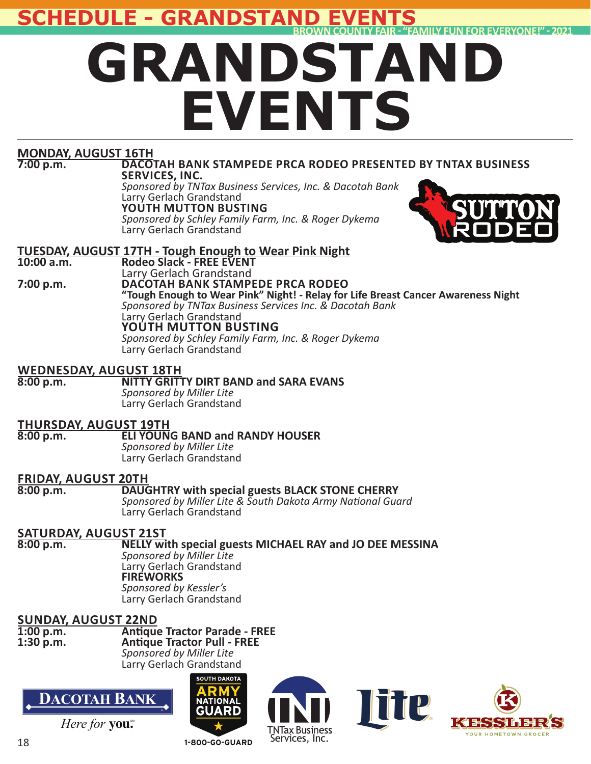**SCHEDULE - GRANDSTAN** 



# **MONDAY, AUGUST 16TH**

#### **DACOTAH BANK STAMPEDE PRCA RODEO PRESENTED BY TNTAX BUSINESS SERVICES, INC.**

 *Sponsored by TNTax Business Services, Inc. & Dacotah Bank* Larry Gerlach Grandstand  **YOUTH MUTTON BUSTING**  *Sponsored by Schley Family Farm, Inc. & Roger Dykema* Larry Gerlach Grandstand



#### **TUESDAY, AUGUST 17TH - Tough Enough to Wear Pink Night Rodeo Slack - FREE EVENT**

#### Larry Gerlach Grandstand<br>**7:00 p.m. DACOTAH BANK STAMP 7:00 p.m. DACOTAH BANK STAMPEDE PRCA RODEO**

**"Tough Enough to Wear Pink" Night! - Relay for Life Breast Cancer Awareness Night**  *Sponsored by TNTax Business Services Inc. & Dacotah Bank* Larry Gerlach Grandstand  **YOUTH MUTTON BUSTING**  *Sponsored by Schley Family Farm, Inc. & Roger Dykema* Larry Gerlach Grandstand

# **WEDNESDAY, AUGUST 18TH**

## **NITTY GRITTY DIRT BAND and SARA EVANS**

 *Sponsored by Miller Lite* Larry Gerlach Grandstand

# **THURSDAY, AUGUST 19TH**

**ELI YOUNG BAND and RANDY HOUSER**  *Sponsored by Miller Lite* Larry Gerlach Grandstand

# **FRIDAY, AUGUST 20TH**

### **DAUGHTRY with special guests BLACK STONE CHERRY**

 *Sponsored by Miller Lite & South Dakota Army NaƟ onal Guard* Larry Gerlach Grandstand

# **SATURDAY, AUGUST 21ST**

## **NELLY with special guests MICHAEL RAY and JO DEE MESSINA**

 *Sponsored by Miller Lite* Larry Gerlach Grandstand  **FIREWORKS**  *Sponsored by Kessler's* Larry Gerlach Grandstand

# **SUNDAY, AUGUST 22ND**

#### **1:00 p.m. AnƟ que Tractor Parade - FREE Antique Tractor Pull - FREE** *Sponsored by Miller Lite* Larry Gerlach Grandstand



Here for you.<sup>\*</sup>









**1-800-GO-GUARD**